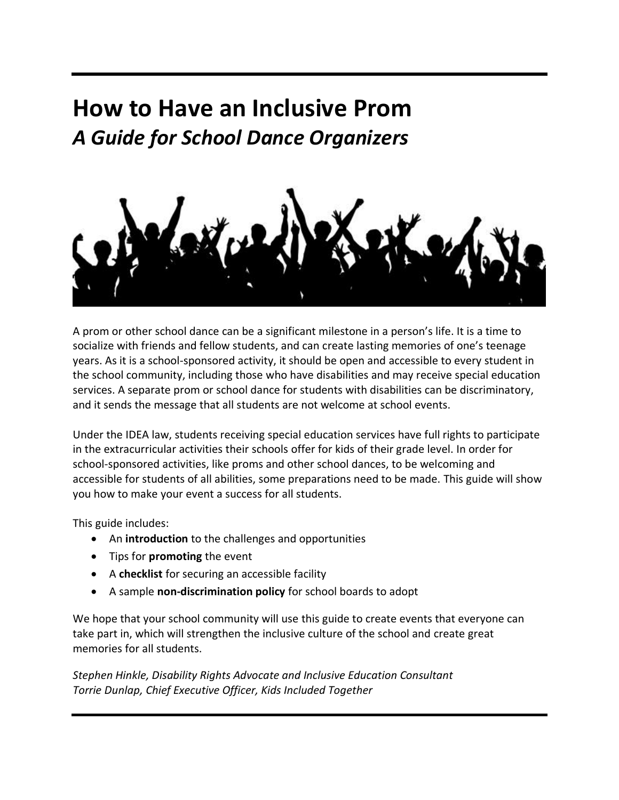# **How to Have an Inclusive Prom** *A Guide for School Dance Organizers*



A prom or other school dance can be a significant milestone in a person's life. It is a time to socialize with friends and fellow students, and can create lasting memories of one's teenage years. As it is a school-sponsored activity, it should be open and accessible to every student in the school community, including those who have disabilities and may receive special education services. A separate prom or school dance for students with disabilities can be discriminatory, and it sends the message that all students are not welcome at school events.

Under the IDEA law, students receiving special education services have full rights to participate in the extracurricular activities their schools offer for kids of their grade level. In order for school-sponsored activities, like proms and other school dances, to be welcoming and accessible for students of all abilities, some preparations need to be made. This guide will show you how to make your event a success for all students.

This guide includes:

- An **introduction** to the challenges and opportunities
- Tips for **promoting** the event
- A **checklist** for securing an accessible facility
- A sample **non-discrimination policy** for school boards to adopt

We hope that your school community will use this guide to create events that everyone can take part in, which will strengthen the inclusive culture of the school and create great memories for all students.

*Stephen Hinkle, Disability Rights Advocate and Inclusive Education Consultant Torrie Dunlap, Chief Executive Officer, Kids Included Together*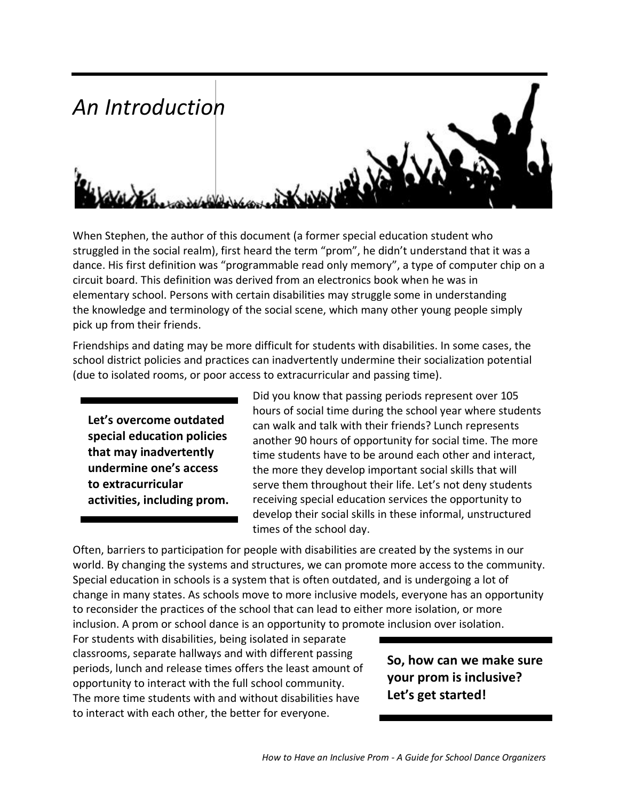

When Stephen, the author of this document (a former special education student who struggled in the social realm), first heard the term "prom", he didn't understand that it was a dance. His first definition was "programmable read only memory", a type of computer chip on a circuit board. This definition was derived from an electronics book when he was in elementary school. Persons with certain disabilities may struggle some in understanding the knowledge and terminology of the social scene, which many other young people simply pick up from their friends.

Friendships and dating may be more difficult for students with disabilities. In some cases, the school district policies and practices can inadvertently undermine their socialization potential (due to isolated rooms, or poor access to extracurricular and passing time).

**Let's overcome outdated special education policies that may inadvertently undermine one's access to extracurricular activities, including prom.** Did you know that passing periods represent over 105 hours of social time during the school year where students can walk and talk with their friends? Lunch represents another 90 hours of opportunity for social time. The more time students have to be around each other and interact, the more they develop important social skills that will serve them throughout their life. Let's not deny students receiving special education services the opportunity to develop their social skills in these informal, unstructured times of the school day.

Often, barriers to participation for people with disabilities are created by the systems in our world. By changing the systems and structures, we can promote more access to the community. Special education in schools is a system that is often outdated, and is undergoing a lot of change in many states. As schools move to more inclusive models, everyone has an opportunity to reconsider the practices of the school that can lead to either more isolation, or more inclusion. A prom or school dance is an opportunity to promote inclusion over isolation.

For students with disabilities, being isolated in separate classrooms, separate hallways and with different passing periods, lunch and release times offers the least amount of opportunity to interact with the full school community. The more time students with and without disabilities have to interact with each other, the better for everyone.

# **So, how can we make sure your prom is inclusive? Let's get started!**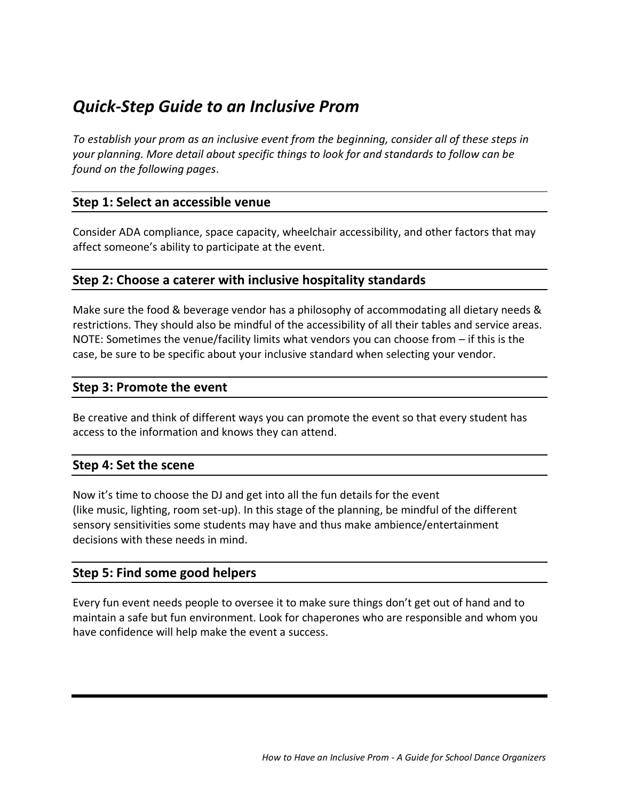# *Quick-Step Guide to an Inclusive Prom*

*To establish your prom as an inclusive event from the beginning, consider all of these steps in your planning. More detail about specific things to look for and standards to follow can be found on the following pages*.

# **Step 1: Select an accessible venue**

Consider ADA compliance, space capacity, wheelchair accessibility, and other factors that may affect someone's ability to participate at the event.

# **Step 2: Choose a caterer with inclusive hospitality standards**

Make sure the food & beverage vendor has a philosophy of accommodating all dietary needs & restrictions. They should also be mindful of the accessibility of all their tables and service areas. NOTE: Sometimes the venue/facility limits what vendors you can choose from – if this is the case, be sure to be specific about your inclusive standard when selecting your vendor.

# **Step 3: Promote the event**

Be creative and think of different ways you can promote the event so that every student has access to the information and knows they can attend.

# **Step 4: Set the scene**

Now it's time to choose the DJ and get into all the fun details for the event (like music, lighting, room set-up). In this stage of the planning, be mindful of the different sensory sensitivities some students may have and thus make ambience/entertainment decisions with these needs in mind.

## **Step 5: Find some good helpers**

Every fun event needs people to oversee it to make sure things don't get out of hand and to maintain a safe but fun environment. Look for chaperones who are responsible and whom you have confidence will help make the event a success.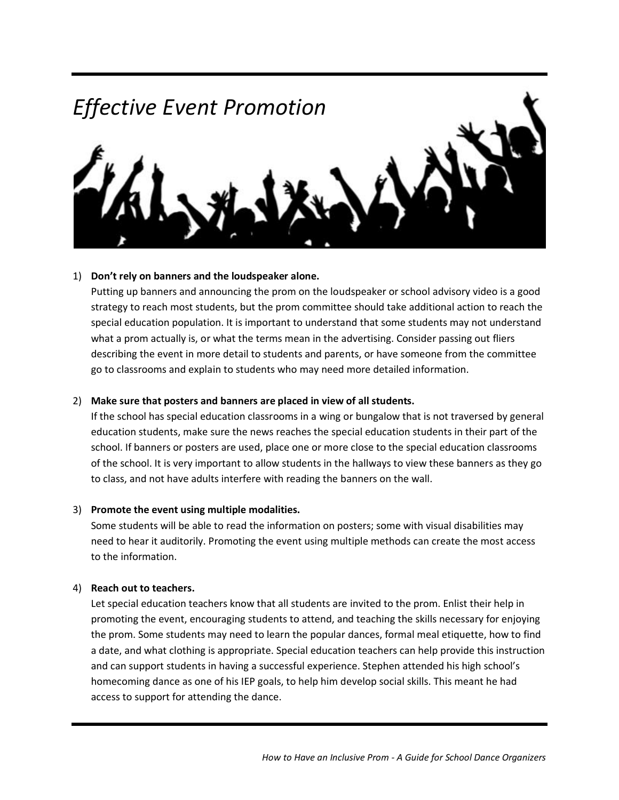

#### 1) **Don't rely on banners and the loudspeaker alone.**

Putting up banners and announcing the prom on the loudspeaker or school advisory video is a good strategy to reach most students, but the prom committee should take additional action to reach the special education population. It is important to understand that some students may not understand what a prom actually is, or what the terms mean in the advertising. Consider passing out fliers describing the event in more detail to students and parents, or have someone from the committee go to classrooms and explain to students who may need more detailed information.

#### 2) **Make sure that posters and banners are placed in view of all students.**

If the school has special education classrooms in a wing or bungalow that is not traversed by general education students, make sure the news reaches the special education students in their part of the school. If banners or posters are used, place one or more close to the special education classrooms of the school. It is very important to allow students in the hallways to view these banners as they go to class, and not have adults interfere with reading the banners on the wall.

#### 3) **Promote the event using multiple modalities.**

Some students will be able to read the information on posters; some with visual disabilities may need to hear it auditorily. Promoting the event using multiple methods can create the most access to the information.

#### 4) **Reach out to teachers.**

Let special education teachers know that all students are invited to the prom. Enlist their help in promoting the event, encouraging students to attend, and teaching the skills necessary for enjoying the prom. Some students may need to learn the popular dances, formal meal etiquette, how to find a date, and what clothing is appropriate. Special education teachers can help provide this instruction and can support students in having a successful experience. Stephen attended his high school's homecoming dance as one of his IEP goals, to help him develop social skills. This meant he had access to support for attending the dance.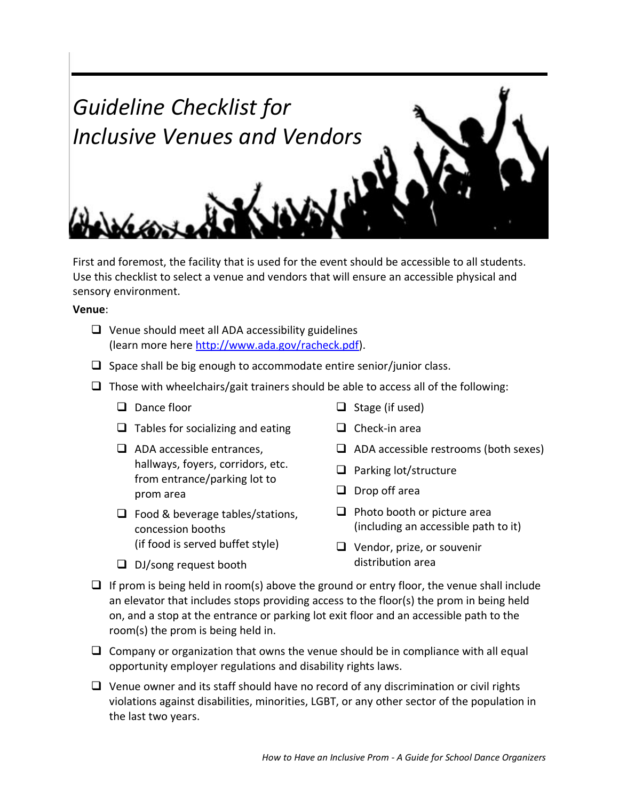

First and foremost, the facility that is used for the event should be accessible to all students. Use this checklist to select a venue and vendors that will ensure an accessible physical and sensory environment.

**Venue**:

- $\Box$  Venue should meet all ADA accessibility guidelines (learn more here [http://www.ada.gov/racheck.pdf\)](http://www.ada.gov/racheck.pdf).
- $\Box$  Space shall be big enough to accommodate entire senior/junior class.
- $\Box$  Those with wheelchairs/gait trainers should be able to access all of the following:
	- $\Box$  Dance floor
	- $\Box$  Tables for socializing and eating
	- $\Box$  ADA accessible entrances. hallways, foyers, corridors, etc. from entrance/parking lot to prom area
	- $\Box$  Food & beverage tables/stations, concession booths (if food is served buffet style)
	- $\Box$  DJ/song request booth
- $\Box$  Stage (if used)
- $\Box$  Check-in area
- $\Box$  ADA accessible restrooms (both sexes)
- $\Box$  Parking lot/structure
- $\Box$  Drop off area
- $\Box$  Photo booth or picture area (including an accessible path to it)
- $\Box$  Vendor, prize, or souvenir distribution area
- $\Box$  If prom is being held in room(s) above the ground or entry floor, the venue shall include an elevator that includes stops providing access to the floor(s) the prom in being held on, and a stop at the entrance or parking lot exit floor and an accessible path to the room(s) the prom is being held in.
- $\Box$  Company or organization that owns the venue should be in compliance with all equal opportunity employer regulations and disability rights laws.
- $\Box$  Venue owner and its staff should have no record of any discrimination or civil rights violations against disabilities, minorities, LGBT, or any other sector of the population in the last two years.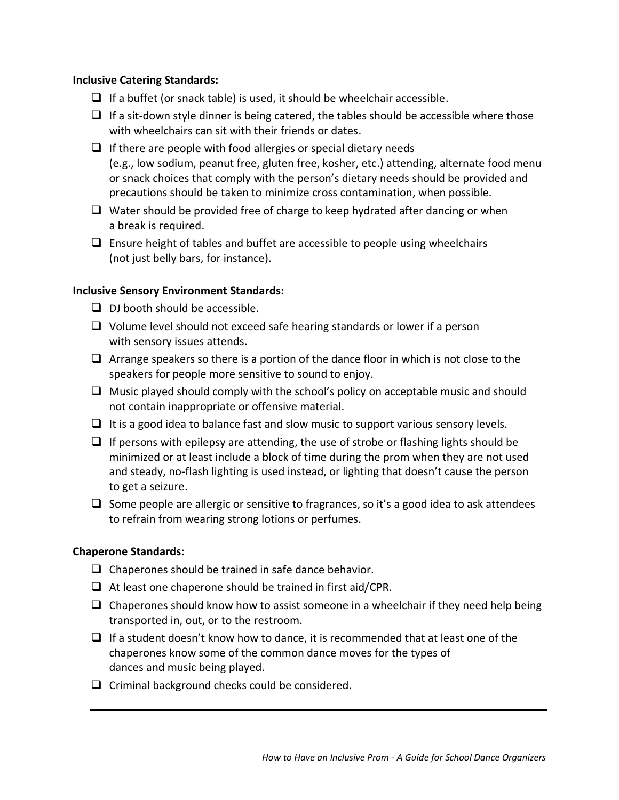#### **Inclusive Catering Standards:**

- $\Box$  If a buffet (or snack table) is used, it should be wheelchair accessible.
- $\Box$  If a sit-down style dinner is being catered, the tables should be accessible where those with wheelchairs can sit with their friends or dates.
- $\Box$  If there are people with food allergies or special dietary needs (e.g., low sodium, peanut free, gluten free, kosher, etc.) attending, alternate food menu or snack choices that comply with the person's dietary needs should be provided and precautions should be taken to minimize cross contamination, when possible.
- $\Box$  Water should be provided free of charge to keep hydrated after dancing or when a break is required.
- $\Box$  Ensure height of tables and buffet are accessible to people using wheelchairs (not just belly bars, for instance).

#### **Inclusive Sensory Environment Standards:**

- $\Box$  DJ booth should be accessible.
- $\Box$  Volume level should not exceed safe hearing standards or lower if a person with sensory issues attends.
- $\Box$  Arrange speakers so there is a portion of the dance floor in which is not close to the speakers for people more sensitive to sound to enjoy.
- $\Box$  Music played should comply with the school's policy on acceptable music and should not contain inappropriate or offensive material.
- $\Box$  It is a good idea to balance fast and slow music to support various sensory levels.
- $\Box$  If persons with epilepsy are attending, the use of strobe or flashing lights should be minimized or at least include a block of time during the prom when they are not used and steady, no-flash lighting is used instead, or lighting that doesn't cause the person to get a seizure.
- $\Box$  Some people are allergic or sensitive to fragrances, so it's a good idea to ask attendees to refrain from wearing strong lotions or perfumes.

#### **Chaperone Standards:**

- $\Box$  Chaperones should be trained in safe dance behavior.
- $\Box$  At least one chaperone should be trained in first aid/CPR.
- $\Box$  Chaperones should know how to assist someone in a wheelchair if they need help being transported in, out, or to the restroom.
- $\Box$  If a student doesn't know how to dance, it is recommended that at least one of the chaperones know some of the common dance moves for the types of dances and music being played.
- $\Box$  Criminal background checks could be considered.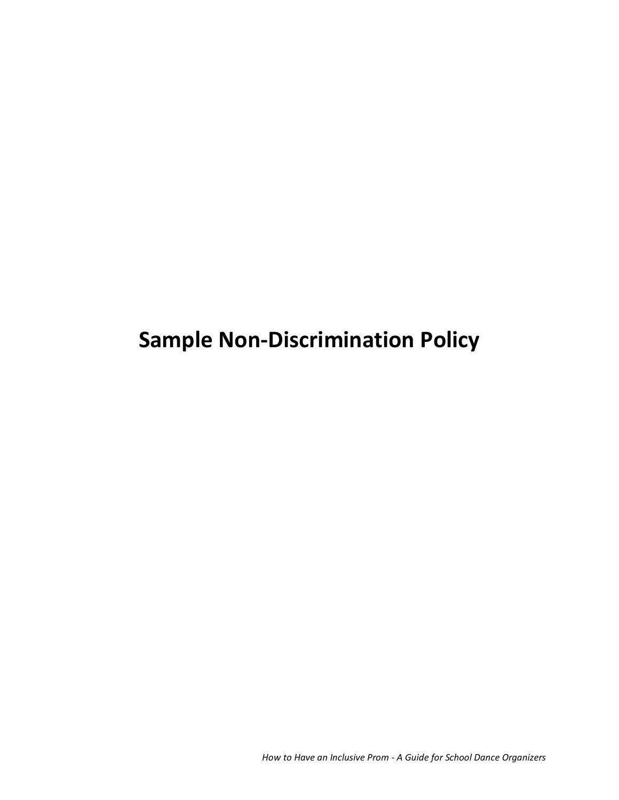**Sample Non-Discrimination Policy**

*How to Have an Inclusive Prom - A Guide for School Dance Organizers*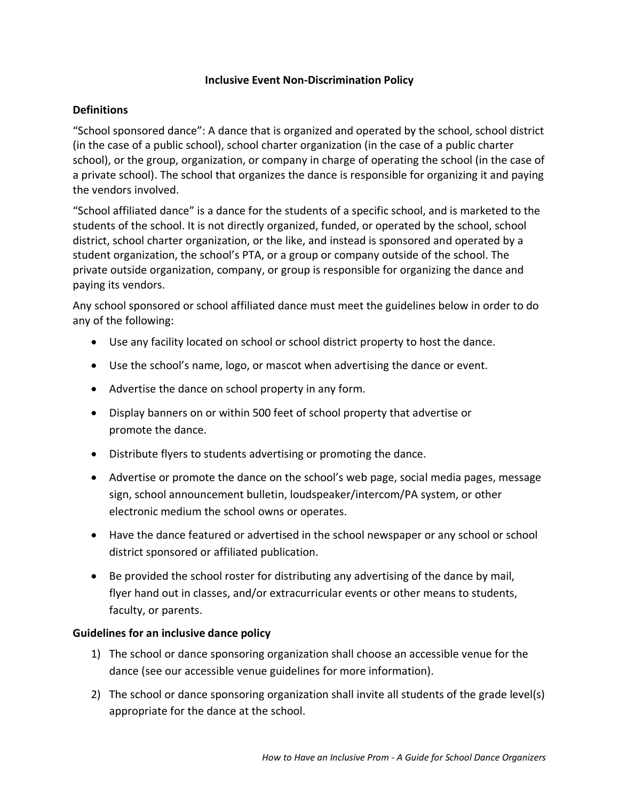#### **Inclusive Event Non-Discrimination Policy**

#### **Definitions**

"School sponsored dance": A dance that is organized and operated by the school, school district (in the case of a public school), school charter organization (in the case of a public charter school), or the group, organization, or company in charge of operating the school (in the case of a private school). The school that organizes the dance is responsible for organizing it and paying the vendors involved.

"School affiliated dance" is a dance for the students of a specific school, and is marketed to the students of the school. It is not directly organized, funded, or operated by the school, school district, school charter organization, or the like, and instead is sponsored and operated by a student organization, the school's PTA, or a group or company outside of the school. The private outside organization, company, or group is responsible for organizing the dance and paying its vendors.

Any school sponsored or school affiliated dance must meet the guidelines below in order to do any of the following:

- Use any facility located on school or school district property to host the dance.
- Use the school's name, logo, or mascot when advertising the dance or event.
- Advertise the dance on school property in any form.
- Display banners on or within 500 feet of school property that advertise or promote the dance.
- Distribute flyers to students advertising or promoting the dance.
- Advertise or promote the dance on the school's web page, social media pages, message sign, school announcement bulletin, loudspeaker/intercom/PA system, or other electronic medium the school owns or operates.
- Have the dance featured or advertised in the school newspaper or any school or school district sponsored or affiliated publication.
- Be provided the school roster for distributing any advertising of the dance by mail, flyer hand out in classes, and/or extracurricular events or other means to students, faculty, or parents.

## **Guidelines for an inclusive dance policy**

- 1) The school or dance sponsoring organization shall choose an accessible venue for the dance (see our accessible venue guidelines for more information).
- 2) The school or dance sponsoring organization shall invite all students of the grade level(s) appropriate for the dance at the school.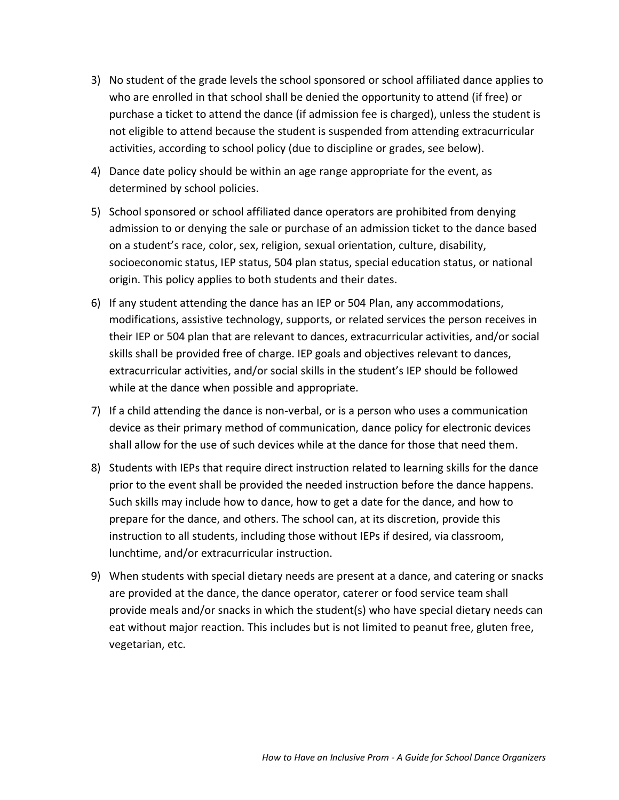- 3) No student of the grade levels the school sponsored or school affiliated dance applies to who are enrolled in that school shall be denied the opportunity to attend (if free) or purchase a ticket to attend the dance (if admission fee is charged), unless the student is not eligible to attend because the student is suspended from attending extracurricular activities, according to school policy (due to discipline or grades, see below).
- 4) Dance date policy should be within an age range appropriate for the event, as determined by school policies.
- 5) School sponsored or school affiliated dance operators are prohibited from denying admission to or denying the sale or purchase of an admission ticket to the dance based on a student's race, color, sex, religion, sexual orientation, culture, disability, socioeconomic status, IEP status, 504 plan status, special education status, or national origin. This policy applies to both students and their dates.
- 6) If any student attending the dance has an IEP or 504 Plan, any accommodations, modifications, assistive technology, supports, or related services the person receives in their IEP or 504 plan that are relevant to dances, extracurricular activities, and/or social skills shall be provided free of charge. IEP goals and objectives relevant to dances, extracurricular activities, and/or social skills in the student's IEP should be followed while at the dance when possible and appropriate.
- 7) If a child attending the dance is non-verbal, or is a person who uses a communication device as their primary method of communication, dance policy for electronic devices shall allow for the use of such devices while at the dance for those that need them.
- 8) Students with IEPs that require direct instruction related to learning skills for the dance prior to the event shall be provided the needed instruction before the dance happens. Such skills may include how to dance, how to get a date for the dance, and how to prepare for the dance, and others. The school can, at its discretion, provide this instruction to all students, including those without IEPs if desired, via classroom, lunchtime, and/or extracurricular instruction.
- 9) When students with special dietary needs are present at a dance, and catering or snacks are provided at the dance, the dance operator, caterer or food service team shall provide meals and/or snacks in which the student(s) who have special dietary needs can eat without major reaction. This includes but is not limited to peanut free, gluten free, vegetarian, etc.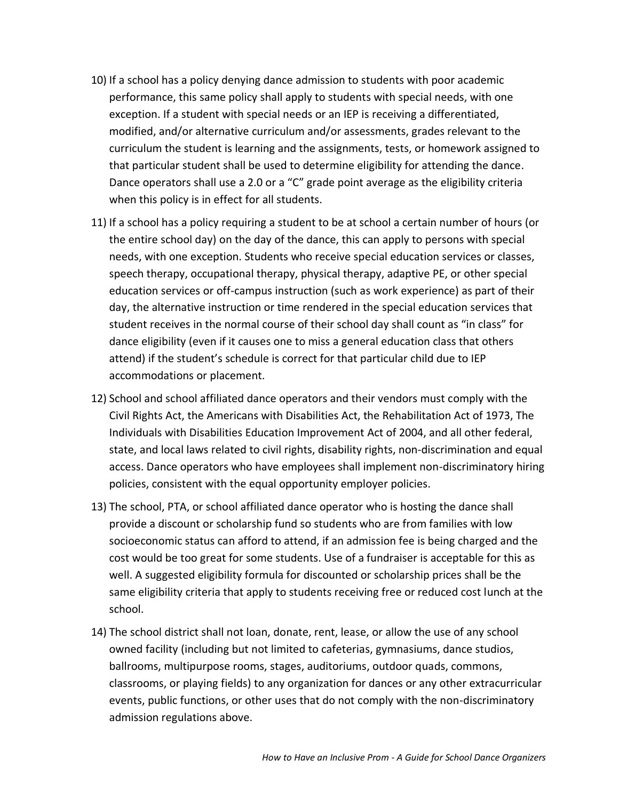- 10) If a school has a policy denying dance admission to students with poor academic performance, this same policy shall apply to students with special needs, with one exception. If a student with special needs or an IEP is receiving a differentiated, modified, and/or alternative curriculum and/or assessments, grades relevant to the curriculum the student is learning and the assignments, tests, or homework assigned to that particular student shall be used to determine eligibility for attending the dance. Dance operators shall use a 2.0 or a "C" grade point average as the eligibility criteria when this policy is in effect for all students.
- 11) If a school has a policy requiring a student to be at school a certain number of hours (or the entire school day) on the day of the dance, this can apply to persons with special needs, with one exception. Students who receive special education services or classes, speech therapy, occupational therapy, physical therapy, adaptive PE, or other special education services or off-campus instruction (such as work experience) as part of their day, the alternative instruction or time rendered in the special education services that student receives in the normal course of their school day shall count as "in class" for dance eligibility (even if it causes one to miss a general education class that others attend) if the student's schedule is correct for that particular child due to IEP accommodations or placement.
- 12) School and school affiliated dance operators and their vendors must comply with the Civil Rights Act, the Americans with Disabilities Act, the Rehabilitation Act of 1973, The Individuals with Disabilities Education Improvement Act of 2004, and all other federal, state, and local laws related to civil rights, disability rights, non-discrimination and equal access. Dance operators who have employees shall implement non-discriminatory hiring policies, consistent with the equal opportunity employer policies.
- 13) The school, PTA, or school affiliated dance operator who is hosting the dance shall provide a discount or scholarship fund so students who are from families with low socioeconomic status can afford to attend, if an admission fee is being charged and the cost would be too great for some students. Use of a fundraiser is acceptable for this as well. A suggested eligibility formula for discounted or scholarship prices shall be the same eligibility criteria that apply to students receiving free or reduced cost lunch at the school.
- 14) The school district shall not loan, donate, rent, lease, or allow the use of any school owned facility (including but not limited to cafeterias, gymnasiums, dance studios, ballrooms, multipurpose rooms, stages, auditoriums, outdoor quads, commons, classrooms, or playing fields) to any organization for dances or any other extracurricular events, public functions, or other uses that do not comply with the non-discriminatory admission regulations above.